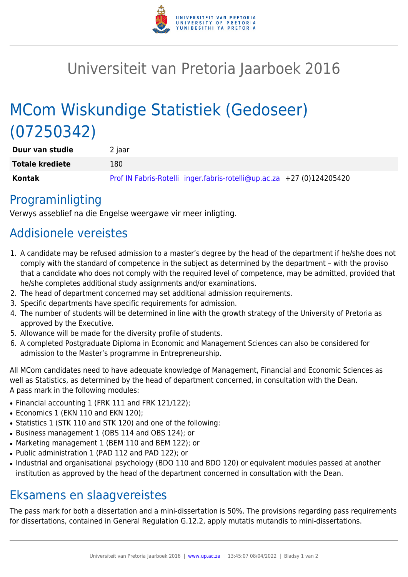

## Universiteit van Pretoria Jaarboek 2016

# MCom Wiskundige Statistiek (Gedoseer) (07250342)

| Duur van studie        | 2 jaar                                                                |
|------------------------|-----------------------------------------------------------------------|
| <b>Totale krediete</b> | 180                                                                   |
| Kontak                 | Prof IN Fabris-Rotelli inger.fabris-rotelli@up.ac.za +27 (0)124205420 |

### Programinligting

Verwys asseblief na die Engelse weergawe vir meer inligting.

### Addisionele vereistes

- 1. A candidate may be refused admission to a master's degree by the head of the department if he/she does not comply with the standard of competence in the subject as determined by the department – with the proviso that a candidate who does not comply with the required level of competence, may be admitted, provided that he/she completes additional study assignments and/or examinations.
- 2. The head of department concerned may set additional admission requirements.
- 3. Specific departments have specific requirements for admission.
- 4. The number of students will be determined in line with the growth strategy of the University of Pretoria as approved by the Executive.
- 5. Allowance will be made for the diversity profile of students.
- 6. A completed Postgraduate Diploma in Economic and Management Sciences can also be considered for admission to the Master's programme in Entrepreneurship.

All MCom candidates need to have adequate knowledge of Management, Financial and Economic Sciences as well as Statistics, as determined by the head of department concerned, in consultation with the Dean. A pass mark in the following modules:

- Financial accounting 1 (FRK 111 and FRK 121/122);
- Economics 1 (EKN 110 and EKN 120);
- Statistics 1 (STK 110 and STK 120) and one of the following:
- Business management 1 (OBS 114 and OBS 124); or
- Marketing management 1 (BEM 110 and BEM 122); or
- Public administration 1 (PAD 112 and PAD 122); or
- Industrial and organisational psychology (BDO 110 and BDO 120) or equivalent modules passed at another institution as approved by the head of the department concerned in consultation with the Dean.

### Eksamens en slaagvereistes

The pass mark for both a dissertation and a mini-dissertation is 50%. The provisions regarding pass requirements for dissertations, contained in General Regulation G.12.2, apply mutatis mutandis to mini-dissertations.